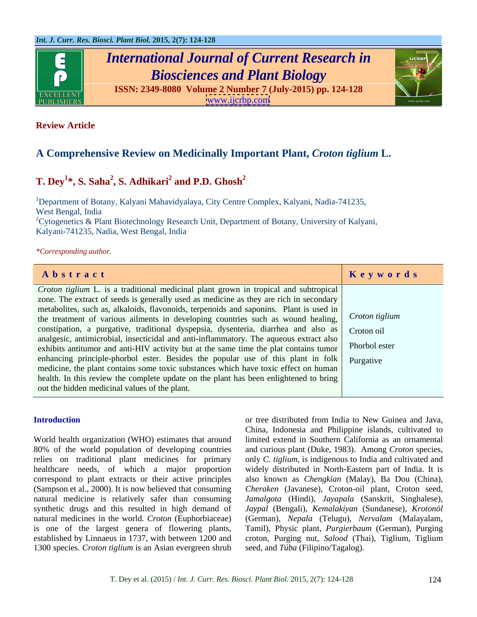

# *International Journal of Current Research in Biosciences and Plant Biology*

**ISSN: 2349-8080 Volume 2 Number 7 (July-2015) pp. 124-128** [www.ijcrbp.com](http://www.ijcrbp.com)



## **Review Article**

# **A Comprehensive Review on Medicinally Important Plant,** *Croton tiglium* **L.**

### **T.** Dey<sup>1\*</sup>, S. Saha<sup>2</sup>, S. Adhikari<sup>2</sup> and P.D. Ghosh<sup>2</sup> **and P.D. Ghosh<sup>2</sup>**

<sup>1</sup>Department of Botany, Kalyani Mahavidyalaya, City Centre Complex, Kalyani, Nadia-741235, West Bengal, India <sup>2</sup>Cytogenetics & Plant Biotechnology Research Unit, Department of Botany, University of Kalyani,

Kalyani-741235, Nadia, West Bengal, India

### *\*Corresponding author.*

| Abstract                                                                                                                                                                                         | Keywords |
|--------------------------------------------------------------------------------------------------------------------------------------------------------------------------------------------------|----------|
| <i>Croton tiglium</i> L. is a traditional medicinal plant grown in tropical and subtropical                                                                                                      |          |
| zone. The extract of seeds is generally used as medicine as they are rich in secondary                                                                                                           |          |
| metabolities, such as, alkaloids, flavonoids, terpenoids and saponins. Plant is used in<br>the treatment of various ailments in developing countries such as wound healing, Croton tiglium       |          |
| constipation, a purgative, traditional dyspepsia, dysenteria, diarrhea and also as Croton oil                                                                                                    |          |
| analgesic, antimicrobial, insecticidal and anti-inflammatory. The aqueous extract also<br>exhibits antitumor and anti-HIV activity but at the same time the plat contains tumor<br>Phorbol ester |          |
| enhancing principle-phorbol ester. Besides the popular use of this plant in folk   Purgative                                                                                                     |          |
| medicine, the plant contains some toxic substances which have toxic effect on human                                                                                                              |          |
| health. In this review the complete update on the plant has been enlightened to bring                                                                                                            |          |
| out the hidden medicinal values of the plant.                                                                                                                                                    |          |

World health organization (WHO) estimates that around limited extend in Southern California as an ornamental 80% of the world population of developing countries and curious plant (Duke, 1983). Among *Croton* species, relies on traditional plant medicines for primary only *C. tiglium*, is indigenous to India and cultivated and healthcare needs, of which a major proportion correspond to plant extracts or their active principles also known as *Chengkian* (Malay), Ba Dou (China), (Sampson et al., 2000). It is now believed that consuming *Cheraken* (Javanese), Croton-oil plant, Croton seed, natural medicine is relatively safer than consuming *Jamalgota* (Hindi), *Jayapala* (Sanskrit, Singhalese), synthetic drugs and this resulted in high demand of *Jaypal* (Bengali), *Kemalakiyan* (Sundanese), *Krotonöl*  natural medicines in the world. *Croton* (Euphorbiaceae) (German), *Nepala* (Telugu), *Nervalam* (Malayalam, is one of the largest genera of flowering plants, Tamil), Physic plant, *Purgierbaum* (German), Purging established by Linnaeus in 1737, with between 1200 and croton, Purging nut, *Salood* (Thai), Tiglium, Tiglium 1300 species. *Croton tiglium* is an Asian evergreen shrub

**Introduction** or tree distributed from India to New Guinea and Java, China, Indonesia and Philippine islands, cultivated to widely distributed in North-Eastern part of India. It is seed, and *Túba* (Filipino/Tagalog).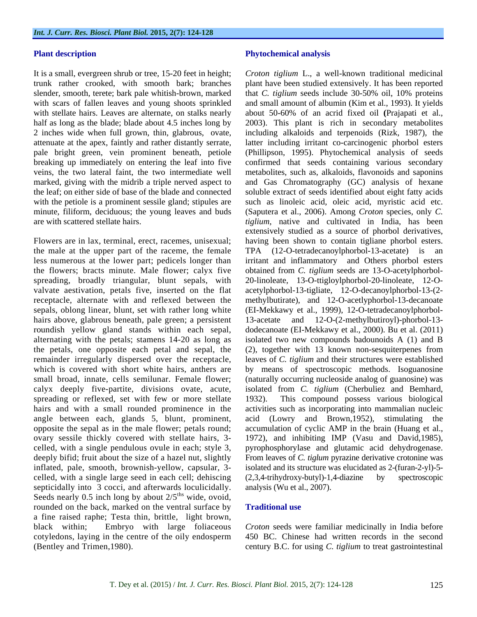pale bright green, vein prominent beneath, petiole

Flowers are in lax, terminal, erect, racemes, unisexual; having been shown to contain tigliane phorbol esters. the male at the upper part of the raceme, the female TPA (12-O-tetradecanoylphorbol-13-acetate) is an less numerous at the lower part; pedicels longer than irritant and inflammatory and Others phorbol esters the flowers; bracts minute. Male flower; calyx five obtained from *C. tiglium* seeds are 13-O-acetylphorbol spreading, broadly triangular, blunt sepals, with 20-linoleate, 13-O-ttigloylphorbol-20-linoleate, 12-Ovalvate aestivation, petals five, inserted on the flat acetylphorbol-13-tigliate, 12-O-decanoylphorbol-13-(2 receptacle, alternate with and reflexed between the methylbutirate), and 12-O-acetlyphorbol-13-decanoate sepals, oblong linear, blunt, set with rather long white (EI-Mekkawy et al., 1999), 12-O-tetradecanoylphorbol hairs above, glabrous beneath, pale green; a persistent 13-acetate and 12-O-(2-methylbutiroyl)-phorbol-13 roundish yellow gland stands within each sepal, dodecanoate (EI-Mekkawy et al., 2000). Bu et al. (2011) alternating with the petals; stamens 14-20 as long as isolated two new compounds badounoids A (1) and B the petals, one opposite each petal and sepal, the (2), together with 13 known non-sesquiterpenes from remainder irregularly dispersed over the receptacle, leaves of *C. tiglium* and their structures were established which is covered with short white hairs, anthers are by means of spectroscopic methods. Isoguanosine small broad, innate, cells semilunar. Female flower; (naturally occurring nucleoside analog of guanosine) was calyx deeply five-partite, divisions ovate, acute, isolated from C. tiglium (Cherbuliez and Bemhard, spreading or reflexed, set with few or more stellate 1932). This compound possess various biological hairs and with a small rounded prominence in the activities such as incorporating into mammalian nucleic angle between each, glands 5, blunt, prominent, opposite the sepal as in the male flower; petals round; accumulation of cyclic AMP in the brain (Huang et al., ovary sessile thickly covered with stellate hairs, 3- 1972), and inhibiting IMP (Vasu and David,1985), celled, with a single pendulous ovule in each; style 3, pyrophosphorylase and glutamic acid dehydrogenase. deeply bifid; fruit about the size of a hazel nut, slightly From leaves of *C. tiglum* pyrazine derivative crotonine was inflated, pale, smooth, brownish-yellow, capsular, 3 celled, with a single large seed in each cell; dehiscing septicidally into 3 cocci, and afterwards loculicidally. Seeds nearly 0.5 inch long by about  $2/5$ <sup>ths</sup> wide, ovoid, ths wide, ovoid, rounded on the back, marked on the ventral surface by **Traditional use** a fine raised raphe; Testa thin, brittle, light brown, black within; Embryo with large foliaceous *Croton* seeds were familiar medicinally in India before cotyledons, laying in the centre of the oily endosperm 450 BC. Chinese had written records in the second (Bentley and Trimen,1980). century B.C. for using *C. tiglium* to treat gastrointestinal

### **Plant description Phytochemical analysis Phytochemical analysis**

It is a small, evergreen shrub or tree, 15-20 feet in height; *Croton tiglium* L.*,* a well-known traditional medicinal trunk rather crooked, with smooth bark; branches plant have been studied extensively. It has been reported slender, smooth, terete; bark pale whitish-brown, marked that *C. tiglium* seeds include 30-50% oil, 10% proteins with scars of fallen leaves and young shoots sprinkled and small amount of albumin (Kim et al., 1993). It yields with stellate hairs. Leaves are alternate, on stalks nearly about 50-60% of an acrid fixed oil **(**Prajapati et al., half as long as the blade; blade about 4.5 inches long by 2003). This plant is rich in secondary metabolites 2 inches wide when full grown, thin, glabrous, ovate, including alkaloids and terpenoids (Rizk, 1987), the attenuate at the apex, faintly and rather distantly serrate, latter including irritant co-carcinogenic phorbol esters breaking up immediately on entering the leaf into five confirmed that seeds containing various secondary veins, the two lateral faint, the two intermediate well metabolites, such as, alkaloids, flavonoids and saponins marked, giving with the midrib a triple nerved aspect to and Gas Chromatography (GC) analysis of hexane the leaf; on either side of base of the blade and connected soluble extract of seeds identified about eight fatty acids with the petiole is a prominent sessile gland; stipules are such as linoleic acid, oleic acid, myristic acid etc. minute, filiform, deciduous; the young leaves and buds (Saputera et al., 2006). Among *Croton* species, only *C.*  are with scattered stellate hairs. *tiglium*, native and cultivated in India, has been (Phillipson, 1995). Phytochemical analysis of seeds extensively studied as a source of phorbol derivatives, isolated from *C. tiglium* (Cherbuliez and Bemhard, 1932). This compound possess various biological acid (Lowry and Brown,1952), stimulating the isolated and its structure was elucidated as 2-(furan-2-yl)-5-  $(2,3,4-trihydroxy-butyl)-1,4-diazine$ analysis (Wu et al., 2007).

### **Traditional use**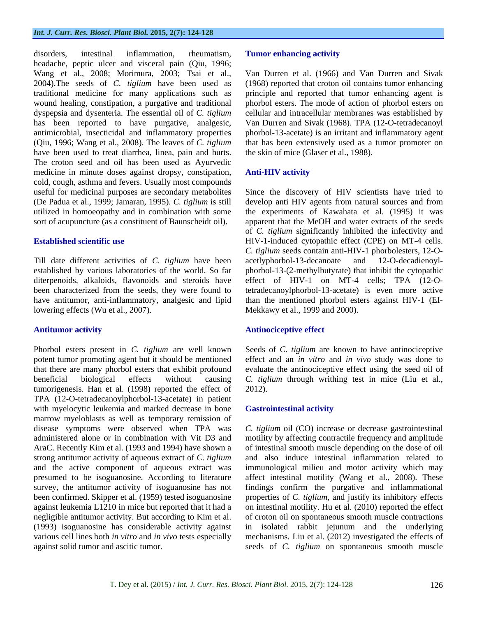disorders, intestinal inflammation, rheumatism, Tumor enhancing activity headache, peptic ulcer and visceral pain (Qiu, 1996; Wang et al., 2008; Morimura, 2003; Tsai et al., Wang et al., 2008; Morimura, 2003; Tsai et al., Van Durren et al. (1966) and Van Durren and Sivak 2004).The seeds of *C. tiglium* have been used as (1968) reported that croton oil contains tumor enhancing traditional medicine for many applications such as principle and reported that tumor enhancing agent is wound healing, constipation, a purgative and traditional phorbol esters. The mode of action of phorbol esters on dyspepsia and dysenteria. The essential oil of *C. tiglium* cellular and intracellular membranes was established by has been reported to have purgative, analgesic, Van Durren and Sivak (1968). TPA (12-O-tetradecanoyl antimicrobial, insecticidal and inflammatory properties phorbol-13-acetate) is an irritant and inflammatory agent (Qiu, 1996; Wang et al., 2008). The leaves of *C. tiglium* that hasbeen extensively used as a tumor promoter on have been used to treat diarrhea, linea, pain and hurts. The croton seed and oil has been used as Ayurvedic medicine in minute doses against dropsy, constipation, Anti-HIV activity cold, cough, asthma and fevers. Usually most compounds useful for medicinal purposes are secondary metabolites Since the discovery of HIV scientists have tried to (De Padua et al., 1999; Jamaran, 1995). *C. tiglium* is still develop anti HIV agents from natural sources and from utilized in homoeopathy and in combination with some the experiments of Kawahata et al. (1995) it was sort of acupuncture (as a constituent of Baunscheidt oil). apparent that the MeOH and water extracts of the seeds

Till date different activities of *C. tiglium* have been established by various laboratories of the world. So far phorbol-13-(2-methylbutyrate) that inhibit the cytopathic diterpenoids, alkaloids, flavonoids and steroids have effect of HIV-1 on MT-4 cells;TPA (12-Obeen characterized from the seeds, they were found to tetradecanoylphorbol-13-acetate) is even more active have antitumor, anti-inflammatory, analgesic and lipid than the mentioned phorbol esters against HIV-1 (EI lowering effects (Wu et al., 2007).

Phorbol esters present in *C. tiglium* are well known potent tumor promoting agent but it should be mentioned effect and an *in vitro* and *in vivo* study was done to that there are many phorbol esters that exhibit profound evaluate the antinociceptive effect using the seed oil of beneficial biological effects without causing *C. tiglium* through writhing test in mice (Liu et al., tumorigenesis. Han et al. (1998) reported the effect of 2012). TPA (12-O-tetradecanoylphorbol-13-acetate) in patient with myelocytic leukemia and marked decrease in bone **Gastrointestinal activity** marrow myeloblasts as well as temporary remission of disease symptoms were observed when TPA was *C. tiglium* oil (CO) increase or decrease gastrointestinal administered alone or in combination with Vit D3 and motility by affecting contractile frequency and amplitude AraC. Recently Kim et al. (1993 and 1994) have shown a of intestinal smooth muscle depending on the dose of oil strong antitumor activity of aqueous extract of *C. tiglium* and also induce intestinal inflammation related to and the active component of aqueous extract was immunological milieu and motor activity which may presumed to be isoguanosine. According to literature affect intestinal motility (Wang et al., 2008). These survey, the antitumor activity of isoguanosine has not been confirmed. Skipper et al. (1959) tested isoguanosine been confirmed. Skipper et al. (1959) tested isoguanosine properties of *C. tiglium*, and justify its inhibitory effects against leukemia L1210 in mice but reported that it had a on intestinal motility. Hu et al. (2010) reported theeffect negligible antitumor activity. But according to Kim et al. of croton oil on spontaneous smooth muscle contractions (1993) isoguanosine has considerable activity against in isolated rabbit jejunum and the underlying various cell lines both *in vitro* and *in vivo* tests especially mechanisms. Liu et al. (2012) investigated the effects of against solid tumor and ascitic tumor. seeds of *C. tiglium* on spontaneous smooth muscle

### **Tumor enhancing activity**

the skin of mice (Glaser et al., 1988).

### **Anti-HIV activity**

**Established scientific use** HIV-1-induced cytopathic effect (CPE) on MT-4 cells. of *C. tiglium* significantly inhibited the infectivity and *C. tiglium* seeds contain anti-HIV-1 phorbolesters, 12-O acetlyphorbol-13-decanoate and 12-O-decadienoyl- Mekkawy et al., 1999 and 2000).

### **Antitumor activity Antinociceptive effect**

Seeds of *C. tiglium* are known to have antinociceptive 2012).

### **Gastrointestinal activity**

findings confirm the purgative and inflammational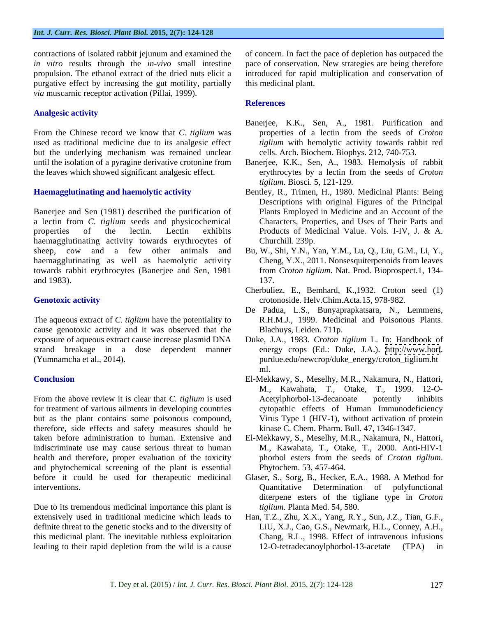purgative effect by increasing the gut motility, partially *via* muscarnic receptor activation (Pillai, 1999).

### **Analgesic activity**

From the Chinese record we know that *C. tiglium* was used as traditional medicine due to its analgesic effect *tiglium* with hemolytic activity towards rabbit red but the underlying mechanism was remained unclear until the isolation of a pyragine derivative crotonine from

Banerjee and Sen (1981) described the purification of a lectin from *C. tiglium* seeds and physicochemical haemagglutinating activity towards erythrocytes of haemagglutinating as well as haemolytic activity towards rabbit erythrocytes (Banerjee and Sen, 1981

The aqueous extract of *C. tiglium* have the potentiality to R.H.M.J., 1999. Medicinal and Poisonous Plants. cause genotoxic activity and it was observed that the exposure of aqueous extract cause increase plasmid DNA Duke, J.A., 1983. *Croton tiglium* L. In: Handbook of strand breakage in a dose dependent manner (Yumnamcha et al., 2014). purdue.edu/newcrop/duke\_energy/croton\_tiglium.ht

From the above review it is clear that *C. tiglium* is used Acetylphorbol-13-decanoate potently inhibits for treatment of various ailments in developing countries but as the plant contains some poisonous compound, therefore, side effects and safety measures should be taken before administration to human. Extensive and El-Mekkawy, S., Meselhy, M.R., Nakamura, N., Hattori, indiscriminate use may cause serious threat to human M., Kawahata, T., Otake, T., 2000. Anti-HIV-1 health and therefore, proper evaluation of the toxicity bhorbol esters from the seeds of *Croton tiglium*. and phytochemical screening of the plant is essential before it could be used for therapeutic medicinal Glaser, S., Sorg, B., Hecker, E.A., 1988. A Method for

Due to its tremendous medicinal importance this plant is this medicinal plant. The inevitable ruthless exploitation leading to their rapid depletion from the wild is a cause 12-O-tetradecanovlphorbol-13-acetate (TPA) in

contractions of isolated rabbit jejunum and examined the of concern. In fact the pace of depletion has outpaced the *in vitro* results through the *in-vivo* small intestine pace of conservation. New strategies are being therefore propulsion. The ethanol extract of the dried nuts elicit a introduced for rapid multiplication and conservation of this medicinal plant.

### **References**

- Banerjee, K.K., Sen, A., 1981. Purification and properties of a lectin from the seeds of *Croton*  cells. Arch. Biochem. Biophys. 212, 740-753.
- the leaves which showed significant analgesic effect. erythrocytes by a lectin from the seeds of *Croton*  Banerjee, K.K., Sen, A., 1983. Hemolysis of rabbit *tiglium*. Biosci. 5, 121-129.
- **Haemagglutinating and haemolytic activity** Bentley, R., Trimen, H., 1980. Medicinal Plants: Being properties of the lectin. Lectin exhibits Products of Medicinal Value. Vols. I-IV, J. & A. Descriptions with original Figures of the Principal Plants Employed in Medicine and an Account of the Characters, Properties, and Uses of Their Parts and Churchill. 239p.
- sheep, cow and a few other animals and Bu, W., Shi, Y.N., Yan, Y.M., Lu, Q., Liu, G.M., Li, Y., and 1983). 137. Cheng, Y.X., 2011. Nonsesquiterpenoids from leaves from *Croton tiglium*. Nat. Prod. Bioprospect.1, 134- 137.
- **Genotoxic activity** crotonoside. Helv.Chim.Acta.15, 978-982. Cherbuliez, E., Bemhard, K.,1932. Croton seed (1)
	- De Padua, L.S., Bunyaprapkatsara, N., Lemmens, Blachuys, Leiden. 711p.
	- energy crops (Ed.: Duke, J.A.). <http://www.hort>. ml.
- **Conclusion** El-Mekkawy, S., Meselhy, M.R., Nakamura, N., Hattori, M., Kawahata, T., Otake, T., 1999. 12-O- Acetylphorbol-13-decanoate potently inhibits cytopathic effects of Human Immunodeficiency Virus Type 1 (HIV-1), without activation of protein kinase C. Chem. Pharm. Bull. 47, 1346-1347.
	- phorbol esters from the seeds of *Croton tiglium*. Phytochem. 53, 457-464.
- interventions. Quantitative Determination of polyfunctional diterpene esters of the tigliane type in *Croton tiglium*. Planta Med. 54, 580.
- extensively used in traditional medicine which leads to Han, T.Z., Zhu, X.X., Yang, R.Y., Sun, J.Z., Tian, G.F., definite threat to the genetic stocks and to the diversity of LiU, X.J., Cao, G.S., Newmark, H.L., Conney, A.H., Chang, R.L., 1998. Effect of intravenous infusions 12-O-tetradecanoylphorbol-13-acetate (TPA) in